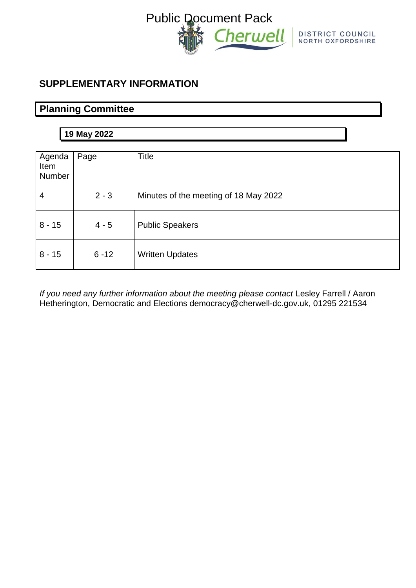

# **SUPPLEMENTARY INFORMATION**

# **Planning Committee**

# **19 May 2022**

| Agenda<br>Item<br><b>Number</b> | Page     | <b>Title</b>                          |
|---------------------------------|----------|---------------------------------------|
| $\overline{4}$                  | $2 - 3$  | Minutes of the meeting of 18 May 2022 |
| $8 - 15$                        | $4 - 5$  | <b>Public Speakers</b>                |
| $8 - 15$                        | $6 - 12$ | <b>Written Updates</b>                |

*If you need any further information about the meeting please contact Lesley Farrell / Aaron* Hetherington, Democratic and Elections democracy@cherwell-dc.gov.uk, 01295 221534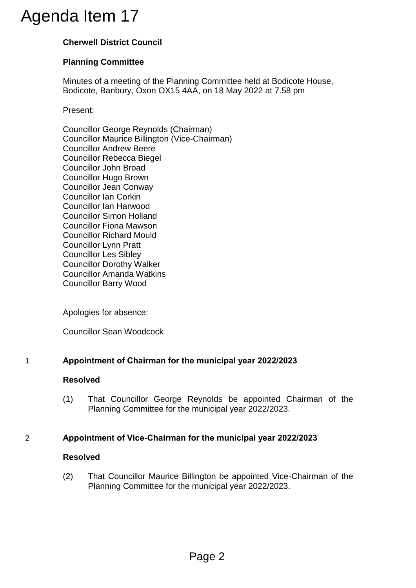# **Cherwell District Council**

# **Planning Committee**

Minutes of a meeting of the Planning Committee held at Bodicote House, Bodicote, Banbury, Oxon OX15 4AA, on 18 May 2022 at 7.58 pm

Present:

Councillor George Reynolds (Chairman) Councillor Maurice Billington (Vice-Chairman) Councillor Andrew Beere Councillor Rebecca Biegel Councillor John Broad Councillor Hugo Brown Councillor Jean Conway Councillor Ian Corkin Councillor Ian Harwood Councillor Simon Holland Councillor Fiona Mawson Councillor Richard Mould Councillor Lynn Pratt Councillor Les Sibley Councillor Dorothy Walker Councillor Amanda Watkins Councillor Barry Wood Agenda Item 17<br>
Cherwell District Council<br>
Planning Committee<br>
Minutes of a meeting of the Planning Committee<br>
Minutes of a meeting of the Planning Committee<br>
Present:<br>
Councillor George Reynolds (Chairman)<br>
Councillor And

Apologies for absence:

Councillor Sean Woodcock

# 1 **Appointment of Chairman for the municipal year 2022/2023**

### **Resolved**

(1) That Councillor George Reynolds be appointed Chairman of the Planning Committee for the municipal year 2022/2023.

# 2 **Appointment of Vice-Chairman for the municipal year 2022/2023**

### **Resolved**

(2) That Councillor Maurice Billington be appointed Vice-Chairman of the Planning Committee for the municipal year 2022/2023.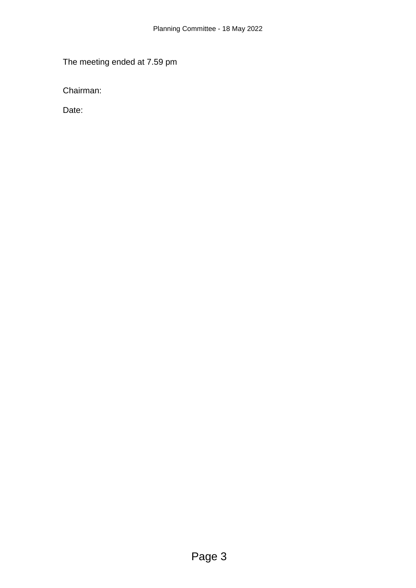The meeting ended at 7.59 pm

Chairman:

Date: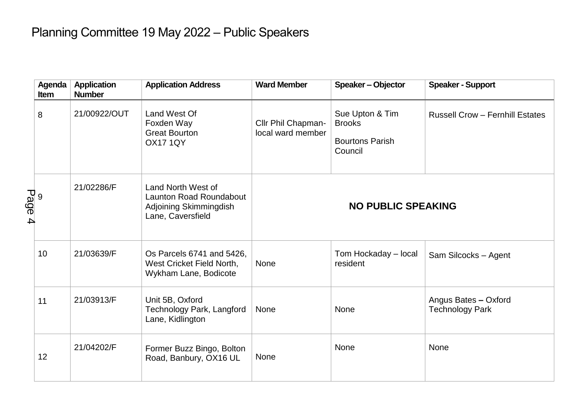# Planning Committee 19 May 2022 – Public Speakers

|        | Agenda<br>Item | <b>Application</b><br><b>Number</b> | <b>Application Address</b>                                                                          | <b>Ward Member</b>                      | Speaker - Objector                                                    | <b>Speaker - Support</b>                       |
|--------|----------------|-------------------------------------|-----------------------------------------------------------------------------------------------------|-----------------------------------------|-----------------------------------------------------------------------|------------------------------------------------|
|        | 8              | 21/00922/OUT                        | Land West Of<br>Foxden Way<br><b>Great Bourton</b><br><b>OX17 1QY</b>                               | Cllr Phil Chapman-<br>local ward member | Sue Upton & Tim<br><b>Brooks</b><br><b>Bourtons Parish</b><br>Council | <b>Russell Crow - Fernhill Estates</b>         |
| Page 4 |                | 21/02286/F                          | Land North West of<br><b>Launton Road Roundabout</b><br>Adjoining Skimmingdish<br>Lane, Caversfield | <b>NO PUBLIC SPEAKING</b>               |                                                                       |                                                |
|        | 10             | 21/03639/F                          | Os Parcels 6741 and 5426,<br>West Cricket Field North,<br>Wykham Lane, Bodicote                     | None                                    | Tom Hockaday - local<br>resident                                      | Sam Silcocks - Agent                           |
|        | 11             | 21/03913/F                          | Unit 5B, Oxford<br><b>Technology Park, Langford</b><br>Lane, Kidlington                             | None                                    | None                                                                  | Angus Bates - Oxford<br><b>Technology Park</b> |
|        | 12             | 21/04202/F                          | Former Buzz Bingo, Bolton<br>Road, Banbury, OX16 UL                                                 | None                                    | <b>None</b>                                                           | <b>None</b>                                    |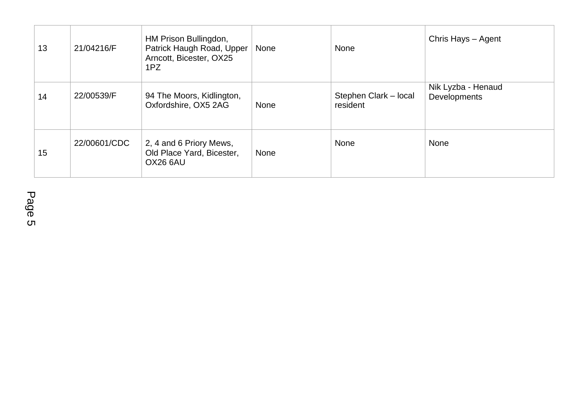| 13 | 21/04216/F   | HM Prison Bullingdon,<br>Patrick Haugh Road, Upper<br>Arncott, Bicester, OX25<br>1PZ | None | None                              | Chris Hays - Agent                 |
|----|--------------|--------------------------------------------------------------------------------------|------|-----------------------------------|------------------------------------|
| 14 | 22/00539/F   | 94 The Moors, Kidlington,<br>Oxfordshire, OX5 2AG                                    | None | Stephen Clark - local<br>resident | Nik Lyzba - Henaud<br>Developments |
| 15 | 22/00601/CDC | 2, 4 and 6 Priory Mews,<br>Old Place Yard, Bicester,<br>OX26 6AU                     | None | <b>None</b>                       | <b>None</b>                        |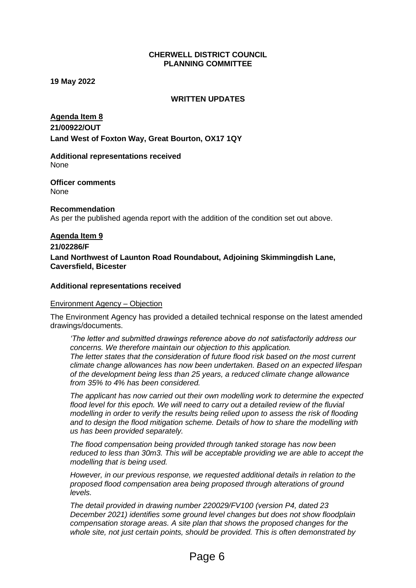#### **CHERWELL DISTRICT COUNCIL PLANNING COMMITTEE**

**19 May 2022**

#### **WRITTEN UPDATES**

#### **Agenda Item 8**

**21/00922/OUT Land West of Foxton Way, Great Bourton, OX17 1QY**

**Additional representations received** None

**Officer comments** None

**Recommendation** As per the published agenda report with the addition of the condition set out above.

#### **Agenda Item 9**

**21/02286/F**

**Land Northwest of Launton Road Roundabout, Adjoining Skimmingdish Lane, Caversfield, Bicester**

#### **Additional representations received**

#### Environment Agency – Objection

The Environment Agency has provided a detailed technical response on the latest amended drawings/documents.

*'The letter and submitted drawings reference above do not satisfactorily address our concerns. We therefore maintain our objection to this application. The letter states that the consideration of future flood risk based on the most current climate change allowances has now been undertaken. Based on an expected lifespan of the development being less than 25 years, a reduced climate change allowance from 35% to 4% has been considered.*

*The applicant has now carried out their own modelling work to determine the expected*  flood level for this epoch. We will need to carry out a detailed review of the fluvial *modelling in order to verify the results being relied upon to assess the risk of flooding and to design the flood mitigation scheme. Details of how to share the modelling with us has been provided separately.* 

*The flood compensation being provided through tanked storage has now been reduced to less than 30m3. This will be acceptable providing we are able to accept the modelling that is being used.* 

*However, in our previous response, we requested additional details in relation to the proposed flood compensation area being proposed through alterations of ground levels.* 

*The detail provided in drawing number 220029/FV100 (version P4, dated 23 December 2021) identifies some ground level changes but does not show floodplain compensation storage areas. A site plan that shows the proposed changes for the whole site, not just certain points, should be provided. This is often demonstrated by*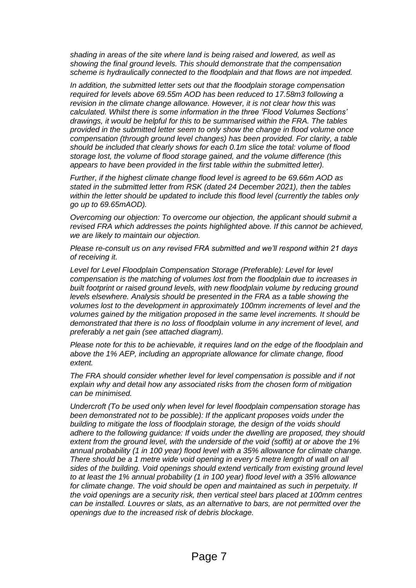*shading in areas of the site where land is being raised and lowered, as well as showing the final ground levels. This should demonstrate that the compensation scheme is hydraulically connected to the floodplain and that flows are not impeded.* 

*In addition, the submitted letter sets out that the floodplain storage compensation required for levels above 69.55m AOD has been reduced to 17.58m3 following a revision in the climate change allowance. However, it is not clear how this was calculated. Whilst there is some information in the three 'Flood Volumes Sections' drawings, it would be helpful for this to be summarised within the FRA. The tables provided in the submitted letter seem to only show the change in flood volume once compensation (through ground level changes) has been provided. For clarity, a table should be included that clearly shows for each 0.1m slice the total: volume of flood storage lost, the volume of flood storage gained, and the volume difference (this appears to have been provided in the first table within the submitted letter).* 

*Further, if the highest climate change flood level is agreed to be 69.66m AOD as stated in the submitted letter from RSK (dated 24 December 2021), then the tables*  within the letter should be updated to include this flood level (currently the tables only *go up to 69.65mAOD).* 

*Overcoming our objection: To overcome our objection, the applicant should submit a revised FRA which addresses the points highlighted above. If this cannot be achieved, we are likely to maintain our objection.* 

*Please re-consult us on any revised FRA submitted and we'll respond within 21 days of receiving it.* 

*Level for Level Floodplain Compensation Storage (Preferable): Level for level compensation is the matching of volumes lost from the floodplain due to increases in built footprint or raised ground levels, with new floodplain volume by reducing ground levels elsewhere. Analysis should be presented in the FRA as a table showing the volumes lost to the development in approximately 100mm increments of level and the volumes gained by the mitigation proposed in the same level increments. It should be demonstrated that there is no loss of floodplain volume in any increment of level, and preferably a net gain (see attached diagram).*

*Please note for this to be achievable, it requires land on the edge of the floodplain and above the 1% AEP, including an appropriate allowance for climate change, flood extent.* 

*The FRA should consider whether level for level compensation is possible and if not explain why and detail how any associated risks from the chosen form of mitigation can be minimised.* 

*Undercroft (To be used only when level for level floodplain compensation storage has been demonstrated not to be possible): If the applicant proposes voids under the building to mitigate the loss of floodplain storage, the design of the voids should adhere to the following guidance: If voids under the dwelling are proposed, they should extent from the ground level, with the underside of the void (soffit) at or above the 1% annual probability (1 in 100 year) flood level with a 35% allowance for climate change. There should be a 1 metre wide void opening in every 5 metre length of wall on all sides of the building. Void openings should extend vertically from existing ground level to at least the 1% annual probability (1 in 100 year) flood level with a 35% allowance*  for climate change. The void should be open and maintained as such in perpetuity. If *the void openings are a security risk, then vertical steel bars placed at 100mm centres can be installed. Louvres or slats, as an alternative to bars, are not permitted over the openings due to the increased risk of debris blockage.*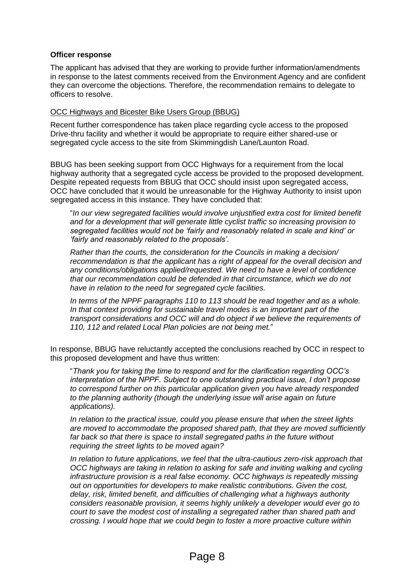#### **Officer response**

The applicant has advised that they are working to provide further information/amendments in response to the latest comments received from the Environment Agency and are confident they can overcome the objections. Therefore, the recommendation remains to delegate to officers to resolve.

#### OCC Highways and Bicester Bike Users Group (BBUG)

Recent further correspondence has taken place regarding cycle access to the proposed Drive-thru facility and whether it would be appropriate to require either shared-use or segregated cycle access to the site from Skimmingdish Lane/Launton Road.

BBUG has been seeking support from OCC Highways for a requirement from the local highway authority that a segregated cycle access be provided to the proposed development. Despite repeated requests from BBUG that OCC should insist upon segregated access, OCC have concluded that it would be unreasonable for the Highway Authority to insist upon segregated access in this instance. They have concluded that:

"*In our view segregated facilities would involve unjustified extra cost for limited benefit and for a development that will generate little cyclist traffic so increasing provision to segregated facilities would not be 'fairly and reasonably related in scale and kind' or 'fairly and reasonably related to the proposals'.*

*Rather than the courts, the consideration for the Councils in making a decision/ recommendation is that the applicant has a right of appeal for the overall decision and any conditions/obligations applied/requested. We need to have a level of confidence that our recommendation could be defended in that circumstance, which we do not have in relation to the need for segregated cycle facilities.*

*In terms of the NPPF paragraphs 110 to 113 should be read together and as a whole. In that context providing for sustainable travel modes is an important part of the transport considerations and OCC will and do object if we believe the requirements of 110, 112 and related Local Plan policies are not being met.*"

In response, BBUG have reluctantly accepted the conclusions reached by OCC in respect to this proposed development and have thus written:

"*Thank you for taking the time to respond and for the clarification regarding OCC's interpretation of the NPPF. Subject to one outstanding practical issue, I don't propose to correspond further on this particular application given you have already responded to the planning authority (though the underlying issue will arise again on future applications).*

*In relation to the practical issue, could you please ensure that when the street lights are moved to accommodate the proposed shared path, that they are moved sufficiently far back so that there is space to install segregated paths in the future without requiring the street lights to be moved again?*

*In relation to future applications, we feel that the ultra-cautious zero-risk approach that OCC highways are taking in relation to asking for safe and inviting walking and cycling infrastructure provision is a real false economy. OCC highways is repeatedly missing out on opportunities for developers to make realistic contributions. Given the cost, delay, risk, limited benefit, and difficulties of challenging what a highways authority considers reasonable provision, it seems highly unlikely a developer would ever go to court to save the modest cost of installing a segregated rather than shared path and crossing. I would hope that we could begin to foster a more proactive culture within*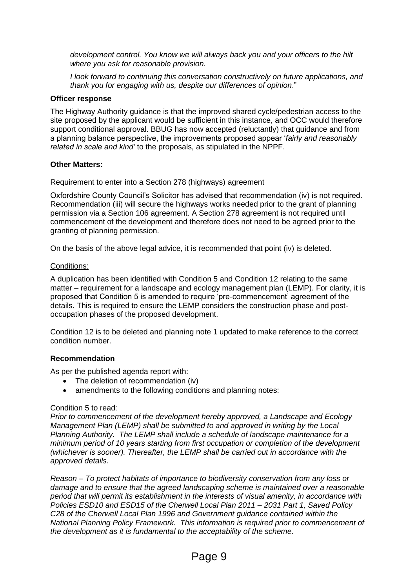*development control. You know we will always back you and your officers to the hilt where you ask for reasonable provision.*

*I look forward to continuing this conversation constructively on future applications, and thank you for engaging with us, despite our differences of opinion*."

#### **Officer response**

The Highway Authority guidance is that the improved shared cycle/pedestrian access to the site proposed by the applicant would be sufficient in this instance, and OCC would therefore support conditional approval. BBUG has now accepted (reluctantly) that guidance and from a planning balance perspective, the improvements proposed appear '*fairly and reasonably related in scale and kind'* to the proposals, as stipulated in the NPPF.

#### **Other Matters:**

#### Requirement to enter into a Section 278 (highways) agreement

Oxfordshire County Council's Solicitor has advised that recommendation (iv) is not required. Recommendation (iii) will secure the highways works needed prior to the grant of planning permission via a Section 106 agreement. A Section 278 agreement is not required until commencement of the development and therefore does not need to be agreed prior to the granting of planning permission.

On the basis of the above legal advice, it is recommended that point (iv) is deleted.

#### Conditions:

A duplication has been identified with Condition 5 and Condition 12 relating to the same matter – requirement for a landscape and ecology management plan (LEMP). For clarity, it is proposed that Condition 5 is amended to require 'pre-commencement' agreement of the details. This is required to ensure the LEMP considers the construction phase and postoccupation phases of the proposed development.

Condition 12 is to be deleted and planning note 1 updated to make reference to the correct condition number.

#### **Recommendation**

As per the published agenda report with:

- The deletion of recommendation (iv)
- amendments to the following conditions and planning notes:

#### Condition 5 to read:

*Prior to commencement of the development hereby approved, a Landscape and Ecology Management Plan (LEMP) shall be submitted to and approved in writing by the Local Planning Authority. The LEMP shall include a schedule of landscape maintenance for a minimum period of 10 years starting from first occupation or completion of the development (whichever is sooner). Thereafter, the LEMP shall be carried out in accordance with the approved details.*

*Reason – To protect habitats of importance to biodiversity conservation from any loss or damage and to ensure that the agreed landscaping scheme is maintained over a reasonable period that will permit its establishment in the interests of visual amenity, in accordance with Policies ESD10 and ESD15 of the Cherwell Local Plan 2011 – 2031 Part 1, Saved Policy C28 of the Cherwell Local Plan 1996 and Government guidance contained within the National Planning Policy Framework. This information is required prior to commencement of the development as it is fundamental to the acceptability of the scheme.*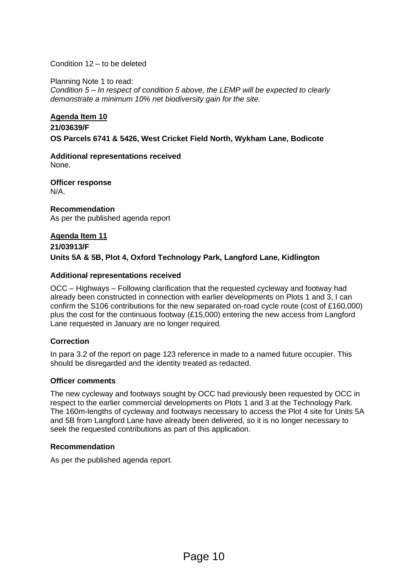Condition 12 – to be deleted

Planning Note 1 to read: *Condition 5 – In respect of condition 5 above, the LEMP will be expected to clearly demonstrate a minimum 10% net biodiversity gain for the site.*

#### **Agenda Item 10**

# **21/03639/F OS Parcels 6741 & 5426, West Cricket Field North, Wykham Lane, Bodicote**

**Additional representations received** None.

**Officer response**  N/A.

**Recommendation** As per the published agenda report

# **Agenda Item 11 21/03913/F Units 5A & 5B, Plot 4, Oxford Technology Park, Langford Lane, Kidlington**

#### **Additional representations received**

OCC – Highways – Following clarification that the requested cycleway and footway had already been constructed in connection with earlier developments on Plots 1 and 3, I can confirm the S106 contributions for the new separated on-road cycle route (cost of £160,000) plus the cost for the continuous footway (£15,000) entering the new access from Langford Lane requested in January are no longer required.

#### **Correction**

In para 3.2 of the report on page 123 reference in made to a named future occupier. This should be disregarded and the identity treated as redacted.

#### **Officer comments**

The new cycleway and footways sought by OCC had previously been requested by OCC in respect to the earlier commercial developments on Plots 1 and 3 at the Technology Park. The 160m-lengths of cycleway and footways necessary to access the Plot 4 site for Units 5A and 5B from Langford Lane have already been delivered, so it is no longer necessary to seek the requested contributions as part of this application.

#### **Recommendation**

As per the published agenda report.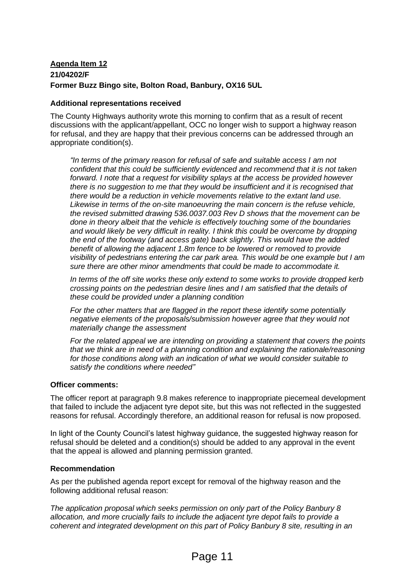# **Agenda Item 12 21/04202/F Former Buzz Bingo site, Bolton Road, Banbury, OX16 5UL**

#### **Additional representations received**

The County Highways authority wrote this morning to confirm that as a result of recent discussions with the applicant/appellant, OCC no longer wish to support a highway reason for refusal, and they are happy that their previous concerns can be addressed through an appropriate condition(s).

*"In terms of the primary reason for refusal of safe and suitable access I am not confident that this could be sufficiently evidenced and recommend that it is not taken forward. I note that a request for visibility splays at the access be provided however there is no suggestion to me that they would be insufficient and it is recognised that there would be a reduction in vehicle movements relative to the extant land use. Likewise in terms of the on-site manoeuvring the main concern is the refuse vehicle, the revised submitted drawing 536.0037.003 Rev D shows that the movement can be done in theory albeit that the vehicle is effectively touching some of the boundaries and would likely be very difficult in reality. I think this could be overcome by dropping the end of the footway (and access gate) back slightly. This would have the added*  benefit of allowing the adjacent 1.8m fence to be lowered or removed to provide *visibility of pedestrians entering the car park area. This would be one example but I am sure there are other minor amendments that could be made to accommodate it.*

*In terms of the off site works these only extend to some works to provide dropped kerb crossing points on the pedestrian desire lines and I am satisfied that the details of these could be provided under a planning condition*

*For the other matters that are flagged in the report these identify some potentially negative elements of the proposals/submission however agree that they would not materially change the assessment* 

*For the related appeal we are intending on providing a statement that covers the points that we think are in need of a planning condition and explaining the rationale/reasoning for those conditions along with an indication of what we would consider suitable to satisfy the conditions where needed"*

#### **Officer comments:**

The officer report at paragraph 9.8 makes reference to inappropriate piecemeal development that failed to include the adjacent tyre depot site, but this was not reflected in the suggested reasons for refusal. Accordingly therefore, an additional reason for refusal is now proposed.

In light of the County Council's latest highway guidance, the suggested highway reason for refusal should be deleted and a condition(s) should be added to any approval in the event that the appeal is allowed and planning permission granted.

#### **Recommendation**

As per the published agenda report except for removal of the highway reason and the following additional refusal reason:

*The application proposal which seeks permission on only part of the Policy Banbury 8 allocation, and more crucially fails to include the adjacent tyre depot fails to provide a coherent and integrated development on this part of Policy Banbury 8 site, resulting in an*